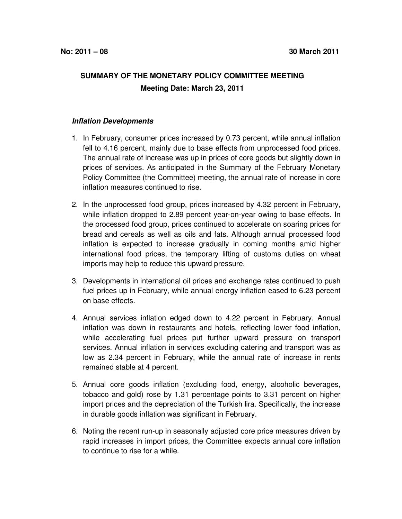## **SUMMARY OF THE MONETARY POLICY COMMITTEE MEETING Meeting Date: March 23, 2011**

## **Inflation Developments**

- 1. In February, consumer prices increased by 0.73 percent, while annual inflation fell to 4.16 percent, mainly due to base effects from unprocessed food prices. The annual rate of increase was up in prices of core goods but slightly down in prices of services. As anticipated in the Summary of the February Monetary Policy Committee (the Committee) meeting, the annual rate of increase in core inflation measures continued to rise.
- 2. In the unprocessed food group, prices increased by 4.32 percent in February, while inflation dropped to 2.89 percent year-on-year owing to base effects. In the processed food group, prices continued to accelerate on soaring prices for bread and cereals as well as oils and fats. Although annual processed food inflation is expected to increase gradually in coming months amid higher international food prices, the temporary lifting of customs duties on wheat imports may help to reduce this upward pressure.
- 3. Developments in international oil prices and exchange rates continued to push fuel prices up in February, while annual energy inflation eased to 6.23 percent on base effects.
- 4. Annual services inflation edged down to 4.22 percent in February. Annual inflation was down in restaurants and hotels, reflecting lower food inflation, while accelerating fuel prices put further upward pressure on transport services. Annual inflation in services excluding catering and transport was as low as 2.34 percent in February, while the annual rate of increase in rents remained stable at 4 percent.
- 5. Annual core goods inflation (excluding food, energy, alcoholic beverages, tobacco and gold) rose by 1.31 percentage points to 3.31 percent on higher import prices and the depreciation of the Turkish lira. Specifically, the increase in durable goods inflation was significant in February.
- 6. Noting the recent run-up in seasonally adjusted core price measures driven by rapid increases in import prices, the Committee expects annual core inflation to continue to rise for a while.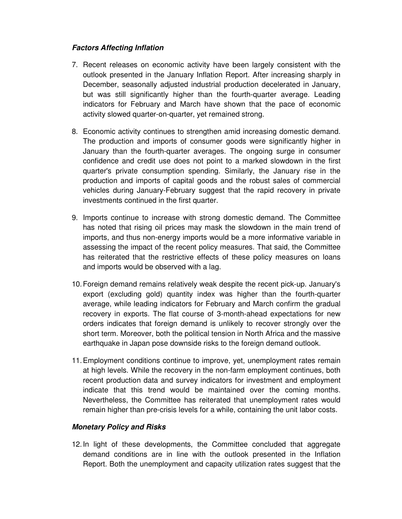## **Factors Affecting Inflation**

- 7. Recent releases on economic activity have been largely consistent with the outlook presented in the January Inflation Report. After increasing sharply in December, seasonally adjusted industrial production decelerated in January, but was still significantly higher than the fourth-quarter average. Leading indicators for February and March have shown that the pace of economic activity slowed quarter-on-quarter, yet remained strong.
- 8. Economic activity continues to strengthen amid increasing domestic demand. The production and imports of consumer goods were significantly higher in January than the fourth-quarter averages. The ongoing surge in consumer confidence and credit use does not point to a marked slowdown in the first quarter's private consumption spending. Similarly, the January rise in the production and imports of capital goods and the robust sales of commercial vehicles during January-February suggest that the rapid recovery in private investments continued in the first quarter.
- 9. Imports continue to increase with strong domestic demand. The Committee has noted that rising oil prices may mask the slowdown in the main trend of imports, and thus non-energy imports would be a more informative variable in assessing the impact of the recent policy measures. That said, the Committee has reiterated that the restrictive effects of these policy measures on loans and imports would be observed with a lag.
- 10. Foreign demand remains relatively weak despite the recent pick-up. January's export (excluding gold) quantity index was higher than the fourth-quarter average, while leading indicators for February and March confirm the gradual recovery in exports. The flat course of 3-month-ahead expectations for new orders indicates that foreign demand is unlikely to recover strongly over the short term. Moreover, both the political tension in North Africa and the massive earthquake in Japan pose downside risks to the foreign demand outlook.
- 11. Employment conditions continue to improve, yet, unemployment rates remain at high levels. While the recovery in the non-farm employment continues, both recent production data and survey indicators for investment and employment indicate that this trend would be maintained over the coming months. Nevertheless, the Committee has reiterated that unemployment rates would remain higher than pre-crisis levels for a while, containing the unit labor costs.

## **Monetary Policy and Risks**

12. In light of these developments, the Committee concluded that aggregate demand conditions are in line with the outlook presented in the Inflation Report. Both the unemployment and capacity utilization rates suggest that the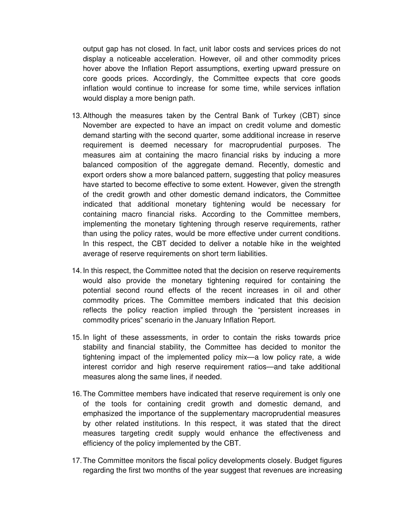output gap has not closed. In fact, unit labor costs and services prices do not display a noticeable acceleration. However, oil and other commodity prices hover above the Inflation Report assumptions, exerting upward pressure on core goods prices. Accordingly, the Committee expects that core goods inflation would continue to increase for some time, while services inflation would display a more benign path.

- 13. Although the measures taken by the Central Bank of Turkey (CBT) since November are expected to have an impact on credit volume and domestic demand starting with the second quarter, some additional increase in reserve requirement is deemed necessary for macroprudential purposes. The measures aim at containing the macro financial risks by inducing a more balanced composition of the aggregate demand. Recently, domestic and export orders show a more balanced pattern, suggesting that policy measures have started to become effective to some extent. However, given the strength of the credit growth and other domestic demand indicators, the Committee indicated that additional monetary tightening would be necessary for containing macro financial risks. According to the Committee members, implementing the monetary tightening through reserve requirements, rather than using the policy rates, would be more effective under current conditions. In this respect, the CBT decided to deliver a notable hike in the weighted average of reserve requirements on short term liabilities.
- 14. In this respect, the Committee noted that the decision on reserve requirements would also provide the monetary tightening required for containing the potential second round effects of the recent increases in oil and other commodity prices. The Committee members indicated that this decision reflects the policy reaction implied through the "persistent increases in commodity prices" scenario in the January Inflation Report.
- 15. In light of these assessments, in order to contain the risks towards price stability and financial stability, the Committee has decided to monitor the tightening impact of the implemented policy mix—a low policy rate, a wide interest corridor and high reserve requirement ratios—and take additional measures along the same lines, if needed.
- 16. The Committee members have indicated that reserve requirement is only one of the tools for containing credit growth and domestic demand, and emphasized the importance of the supplementary macroprudential measures by other related institutions. In this respect, it was stated that the direct measures targeting credit supply would enhance the effectiveness and efficiency of the policy implemented by the CBT.
- 17. The Committee monitors the fiscal policy developments closely. Budget figures regarding the first two months of the year suggest that revenues are increasing